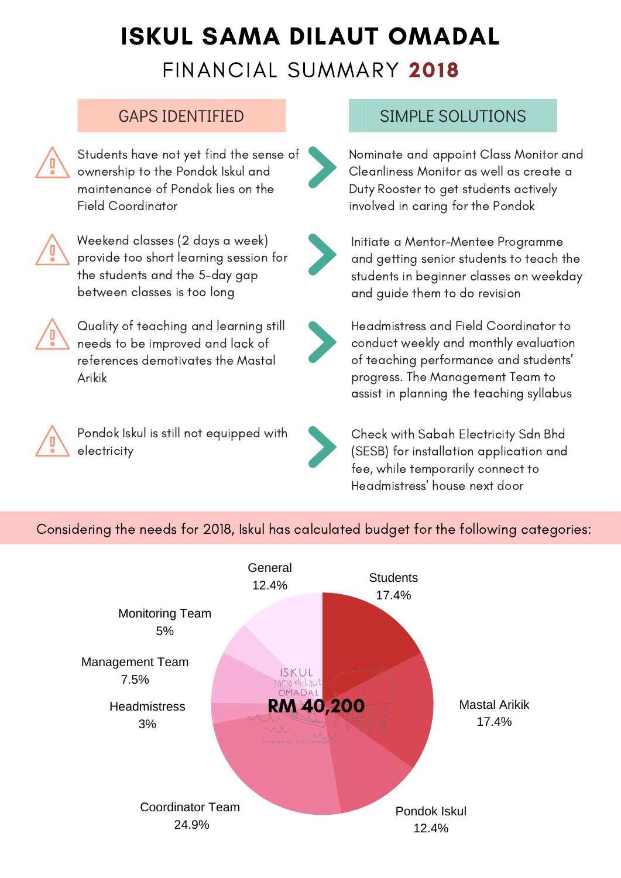

## ISKUL SAMA DILAUT OMADAL FINANCIAL SUMMARY 2018



Students have not yet find the sense of ownership to the Pondok Iskul and maintenance of Pondok lies on the Field Coordinator



Weekend classes (2 days a week) provide too short learning session for the students and the 5-day gap between classes is too long



Quality of teaching and learning still needs to be improved and lack of references demotivates the Mastal Arikik







Pondok Iskul is still not equipped with electricity



Nominate and appoint Class Monitor and Cleanliness Monitor as well as create a Duty Rooster to get students actively involved in caring for the Pondok



Initiate a Mentor-Mentee Programme and getting senior students to teach the students in beginner classes on weekday and guide them to do revision

Headmistress and Field Coordinator to conduct weekly and monthly evaluation of teaching performance and students 'progress. The Management Team to assist in planning the teaching syllabus



Check with Sabah Electricity Sdn Bhd (SESB) for installation application and fee, while temporarily connect to Headmistress ' house next door

### GAPS IDENTIFIED SIMPLE SOLUTIONS

Considering the needs for 2018, Iskul has calculated budget for the following categories: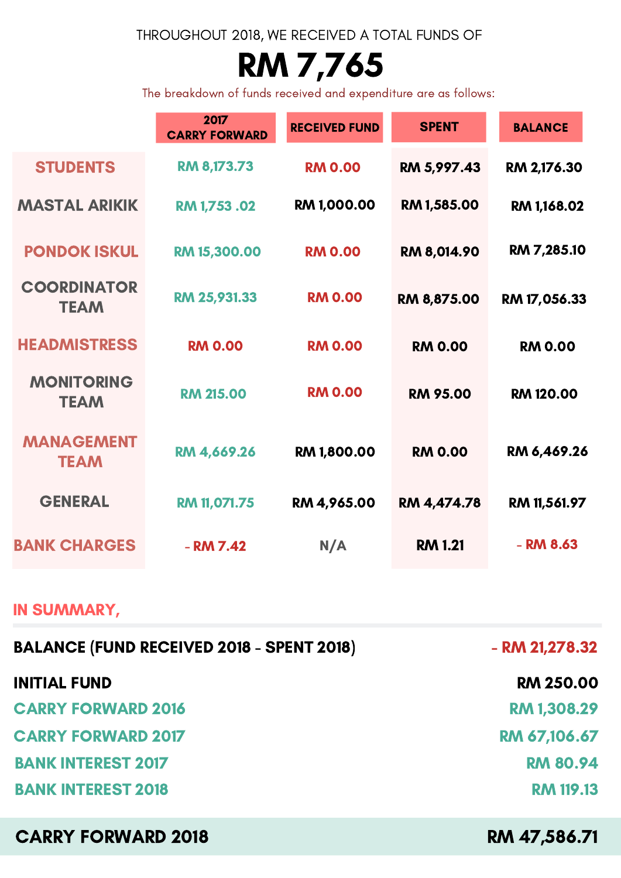# RM 7,765

### THROUGHOUT 2018, WE RECEIVED A TOTAL FUNDS OF

The breakdown of funds received and expenditure are as follows:

|                                   | 2017<br><b>CARRY FORWARD</b> | <b>RECEIVED FUND</b> | <b>SPENT</b>    | <b>BALANCE</b>   |
|-----------------------------------|------------------------------|----------------------|-----------------|------------------|
| <b>STUDENTS</b>                   | RM 8,173.73                  | <b>RM 0.00</b>       | RM 5,997.43     | RM 2,176.30      |
| <b>MASTAL ARIKIK</b>              | RM 1,753.02                  | <b>RM 1,000.00</b>   | RM 1,585.00     | RM 1,168.02      |
| <b>PONDOK ISKUL</b>               | <b>RM 15,300.00</b>          | <b>RM 0.00</b>       | RM 8,014.90     | RM 7,285.10      |
| <b>COORDINATOR</b><br><b>TEAM</b> | RM 25,931.33                 | <b>RM 0.00</b>       | RM 8,875.00     | RM 17,056.33     |
| <b>HEADMISTRESS</b>               | <b>RM 0.00</b>               | <b>RM 0.00</b>       | <b>RM 0.00</b>  | <b>RM 0.00</b>   |
| <b>MONITORING</b><br><b>TEAM</b>  | <b>RM 215.00</b>             | <b>RM 0.00</b>       | <b>RM 95.00</b> | <b>RM 120.00</b> |
| <b>MANAGEMENT</b><br><b>TEAM</b>  | RM 4,669.26                  | <b>RM 1,800.00</b>   | <b>RM 0.00</b>  | RM 6,469.26      |

CARRY FORWARD 2018

RM 47,586.71

### IN SUMMARY,

| <b>BALANCE (FUND RECEIVED 2018 - SPENT 2018)</b> | $-$ RM 21,278.32   |  |
|--------------------------------------------------|--------------------|--|
| <b>INITIAL FUND</b>                              | <b>RM 250.00</b>   |  |
| <b>CARRY FORWARD 2016</b>                        | <b>RM 1,308.29</b> |  |
| <b>CARRY FORWARD 2017</b>                        | RM 67,106.67       |  |
| <b>BANK INTEREST 2017</b>                        | <b>RM 80.94</b>    |  |
| <b>BANK INTEREST 2018</b>                        | <b>RM 119.13</b>   |  |

| GENERAL             | <b>RM 11,071.75</b> | RM 4,965.00 | RM 4,474.78    | <b>RM 11,561.97</b> |
|---------------------|---------------------|-------------|----------------|---------------------|
| <b>BANK CHARGES</b> | - RM 7.42           | N/A         | <b>RM 1.21</b> | - RM 8.63           |